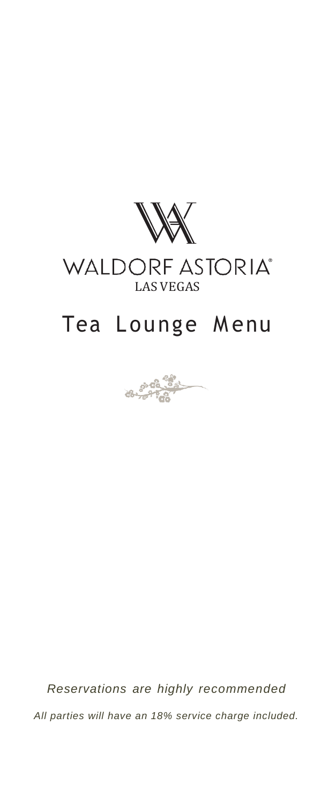

# WALDORF ASTORIA®

# Tea Lounge Menu



*Reservations are highly recommended All parties will have an 18% service charge included.*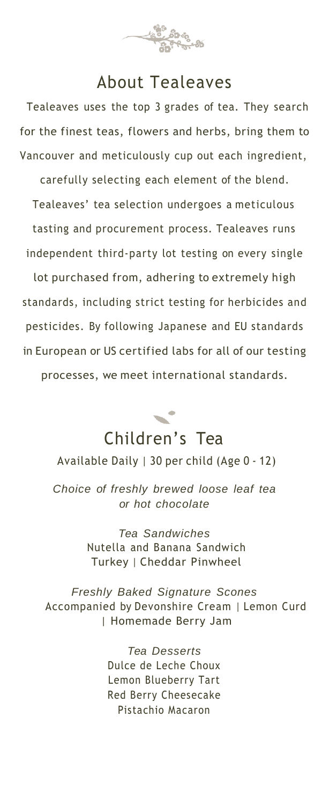

## About Tealeaves

Tealeaves uses the top 3 grades of tea. They search for the finest teas, flowers and herbs, bring them to Vancouver and meticulously cup out each ingredient,

carefully selecting each element of the blend. Tealeaves' tea selection undergoes a meticulous tasting and procurement process. Tealeaves runs independent third-party lot testing on every single

lot purchased from, adhering to extremely high standards, including strict testing for herbicides and pesticides. By following Japanese and EU standards in European or US certified labs for all of our testing

processes, we meet international standards.



Available Daily | 30 per child (Age 0 - 12)

*Choice of freshly brewed loose leaf tea or hot chocolate*

> *Tea Sandwiches* Nutella and Banana Sandwich Turkey | Cheddar Pinwheel

*Freshly Baked Signature Scones* Accompanied by Devonshire Cream | Lemon Curd | Homemade Berry Jam

> *Tea Desserts* Dulce de Leche Choux Lemon Blueberry Tart Red Berry Cheesecake Pistachio Macaron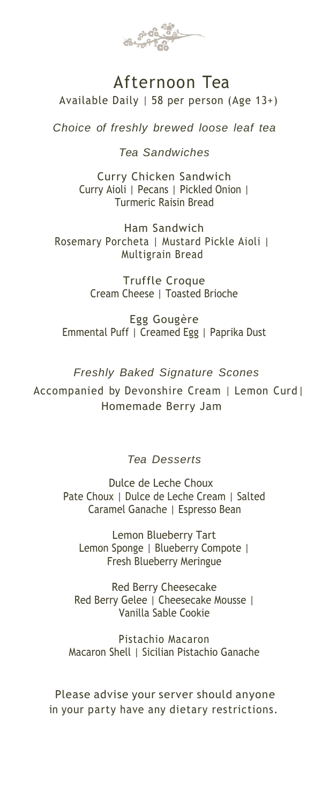

## Afternoon Tea Available Daily | 58 per person (Age 13+)

*Choice of freshly brewed loose leaf tea*

*Tea Sandwiches*

Curry Chicken Sandwich Curry Aioli | Pecans | Pickled Onion | Turmeric Raisin Bread

Ham Sandwich Rosemary Porcheta | Mustard Pickle Aioli | Multigrain Bread

> Truffle Croque Cream Cheese | Toasted Brioche

Egg Gougère Emmental Puff | Creamed Egg | Paprika Dust

*Freshly Baked Signature Scones*

Accompanied by Devonshire Cream | Lemon Curd| Homemade Berry Jam

#### *Tea Desserts*

Dulce de Leche Choux Pate Choux | Dulce de Leche Cream | Salted Caramel Ganache | Espresso Bean

 Lemon Blueberry Tart Lemon Sponge | Blueberry Compote | Fresh Blueberry Meringue

Red Berry Cheesecake Red Berry Gelee | Cheesecake Mousse | Vanilla Sable Cookie

Pistachio Macaron Macaron Shell | Sicilian Pistachio Ganache

Please advise your server should anyone in your party have any dietary restrictions.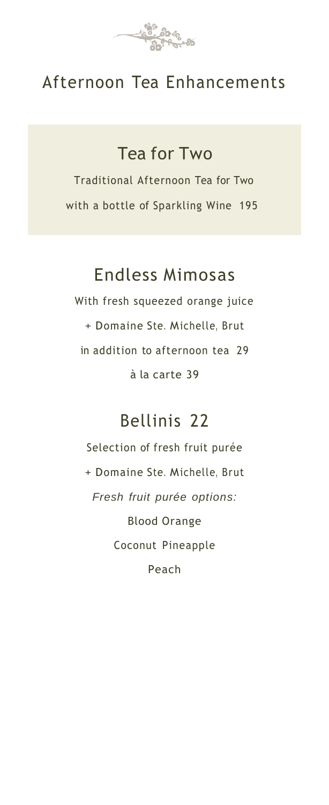

## Afternoon Tea Enhancements

Tea for Two

Traditional Afternoon Tea for Two with a bottle of Sparkling Wine 195

## Endless Mimosas

With fresh squeezed orange juice + Domaine Ste. Michelle, Brut in addition to afternoon tea 29 à la carte 39

# Bellinis 22

Selection of fresh fruit purée + Domaine Ste. Michelle, Brut *Fresh fruit purée options:* Blood Orange Coconut Pineapple Peach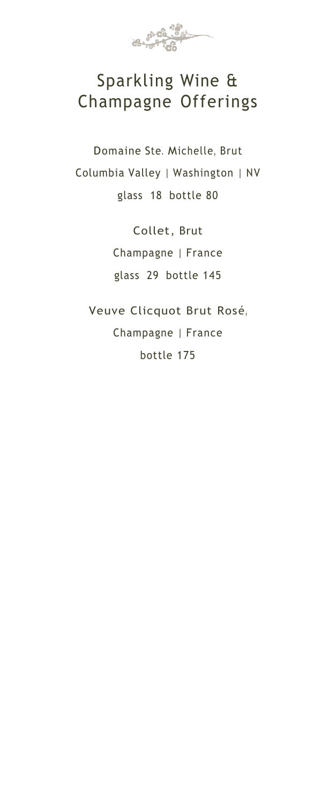

# Sparkling Wine & Champagne Offerings

Domaine Ste. Michelle, Brut Columbia Valley | Washington | NV glass 18 bottle 80

> Collet, Brut Champagne | France glass 29 bottle 145

Veuve Clicquot Brut Rosé, Champagne | France bottle 175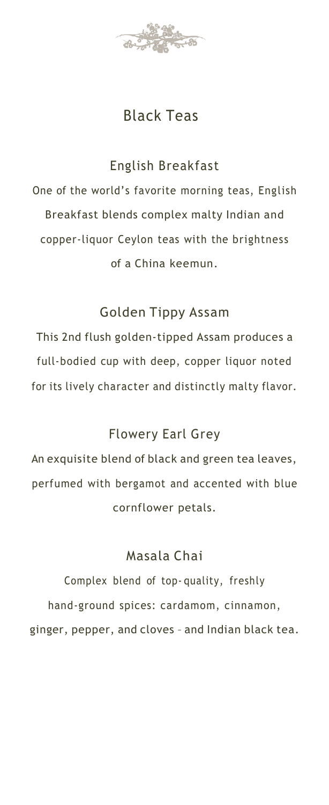

## Black Teas

#### English Breakfast

One of the world's favorite morning teas, English Breakfast blends complex malty Indian and copper-liquor Ceylon teas with the brightness of a China keemun.

#### Golden Tippy Assam

This 2nd flush golden-tipped Assam produces a full-bodied cup with deep, copper liquor noted for its lively character and distinctly malty flavor.

#### Flowery Earl Grey

An exquisite blend of black and green tea leaves, perfumed with bergamot and accented with blue cornflower petals.

#### Masala Chai

Complex blend of top- quality, freshly hand-ground spices: cardamom, cinnamon, ginger, pepper, and cloves – and Indian black tea.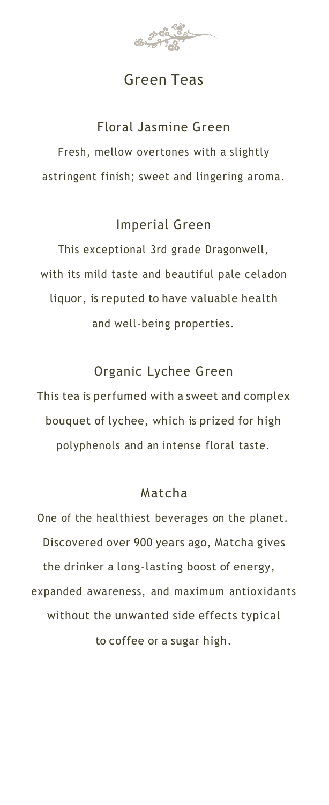

## Green Teas

#### Floral Jasmine Green

Fresh, mellow overtones with a slightly astringent finish; sweet and lingering aroma.

#### Imperial Green

This exceptional 3rd grade Dragonwell, with its mild taste and beautiful pale celadon liquor, is reputed to have valuable health and well-being properties.

Organic Lychee Green

This tea is perfumed with a sweet and complex bouquet of lychee, which is prized for high polyphenols and an intense floral taste.

#### Matcha

One of the healthiest beverages on the planet. Discovered over 900 years ago, Matcha gives the drinker a long-lasting boost of energy, expanded awareness, and maximum antioxidants without the unwanted side effects typical to coffee or a sugar high.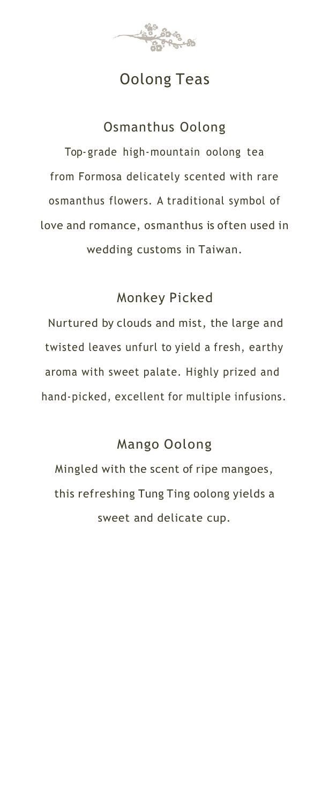

## Oolong Teas

#### Osmanthus Oolong

Top- grade high-mountain oolong tea from Formosa delicately scented with rare osmanthus flowers. A traditional symbol of love and romance, osmanthus is often used in wedding customs in Taiwan.

### Monkey Picked

Nurtured by clouds and mist, the large and twisted leaves unfurl to yield a fresh, earthy aroma with sweet palate. Highly prized and hand-picked, excellent for multiple infusions.

#### Mango Oolong

Mingled with the scent of ripe mangoes, this refreshing Tung Ting oolong yields a sweet and delicate cup.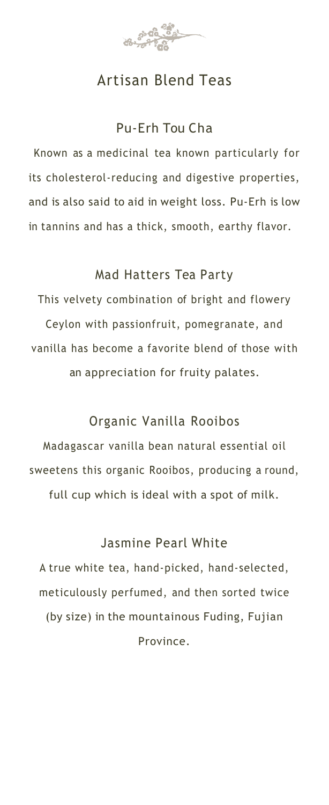

## Artisan Blend Teas

### Pu-Erh Tou Cha

Known as a medicinal tea known particularly for its cholesterol-reducing and digestive properties, and is also said to aid in weight loss. Pu-Erh is low in tannins and has a thick, smooth, earthy flavor.

#### Mad Hatters Tea Party

This velvety combination of bright and flowery Ceylon with passionfruit, pomegranate, and vanilla has become a favorite blend of those with an appreciation for fruity palates.

### Organic Vanilla Rooibos

Madagascar vanilla bean natural essential oil sweetens this organic Rooibos, producing a round, full cup which is ideal with a spot of milk.

#### Jasmine Pearl White

A true white tea, hand-picked, hand-selected, meticulously perfumed, and then sorted twice (by size) in the mountainous Fuding, Fujian Province.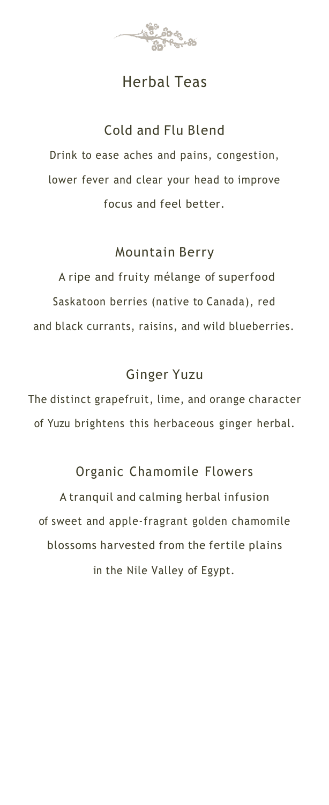

## Herbal Teas

## Cold and Flu Blend

Drink to ease aches and pains, congestion, lower fever and clear your head to improve focus and feel better.

#### Mountain Berry

A ripe and fruity mélange of superfood Saskatoon berries (native to Canada), red and black currants, raisins, and wild blueberries.

### Ginger Yuzu

The distinct grapefruit, lime, and orange character of Yuzu brightens this herbaceous ginger herbal.

## Organic Chamomile Flowers

A tranquil and calming herbal infusion of sweet and apple-fragrant golden chamomile blossoms harvested from the fertile plains in the Nile Valley of Egypt.